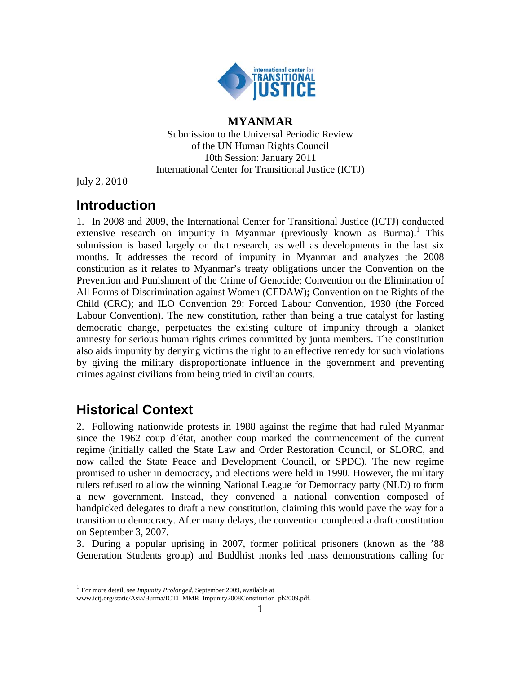

### **MYANMAR**

Submission to the Universal Periodic Review of the UN Human Rights Council 10th Session: January 2011 International Center for Transitional Justice (ICTJ)

July 2, 2010

# **Introduction**

1. In 2008 and 2009, the International Center for Transitional Justice (ICTJ) conducted extensive research on impunity in Myanmar (previously known as Burma).<sup>1</sup> This submission is based largely on that research, as well as developments in the last six months. It addresses the record of impunity in Myanmar and analyzes the 2008 constitution as it relates to Myanmar's treaty obligations under the Convention on the Prevention and Punishment of the Crime of Genocide; Convention on the Elimination of All Forms of Discrimination against Women (CEDAW)**;** Convention on the Rights of the Child (CRC); and ILO Convention 29: Forced Labour Convention, 1930 (the Forced Labour Convention). The new constitution, rather than being a true catalyst for lasting democratic change, perpetuates the existing culture of impunity through a blanket amnesty for serious human rights crimes committed by junta members. The constitution also aids impunity by denying victims the right to an effective remedy for such violations by giving the military disproportionate influence in the government and preventing crimes against civilians from being tried in civilian courts.

# **Historical Context**

2. Following nationwide protests in 1988 against the regime that had ruled Myanmar since the 1962 coup d'état, another coup marked the commencement of the current regime (initially called the State Law and Order Restoration Council, or SLORC, and now called the State Peace and Development Council, or SPDC). The new regime promised to usher in democracy, and elections were held in 1990. However, the military rulers refused to allow the winning National League for Democracy party (NLD) to form a new government. Instead, they convened a national convention composed of handpicked delegates to draft a new constitution, claiming this would pave the way for a transition to democracy. After many delays, the convention completed a draft constitution on September 3, 2007.

3. During a popular uprising in 2007, former political prisoners (known as the '88 Generation Students group) and Buddhist monks led mass demonstrations calling for

<sup>1</sup> For more detail, see *Impunity Prolonged*, September 2009, available at

www.ictj.org/static/Asia/Burma/ICTJ\_MMR\_Impunity2008Constitution\_pb2009.pdf.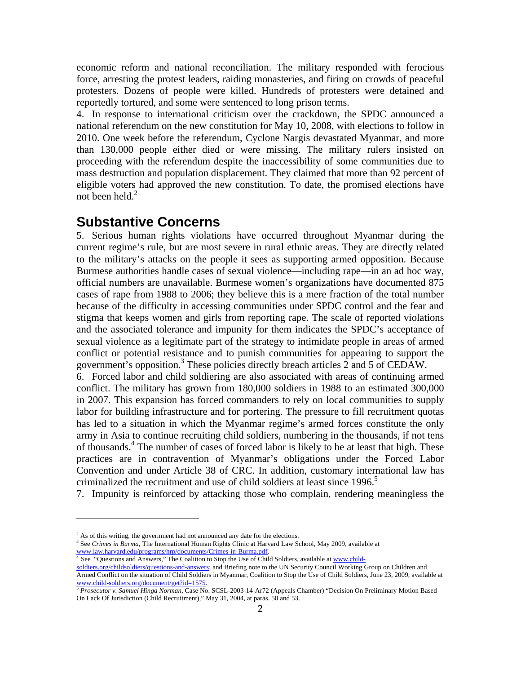economic reform and national reconciliation. The military responded with ferocious force, arresting the protest leaders, raiding monasteries, and firing on crowds of peaceful protesters. Dozens of people were killed. Hundreds of protesters were detained and reportedly tortured, and some were sentenced to long prison terms.

4. In response to international criticism over the crackdown, the SPDC announced a national referendum on the new constitution for May 10, 2008, with elections to follow in 2010. One week before the referendum, Cyclone Nargis devastated Myanmar, and more than 130,000 people either died or were missing. The military rulers insisted on proceeding with the referendum despite the inaccessibility of some communities due to mass destruction and population displacement. They claimed that more than 92 percent of eligible voters had approved the new constitution. To date, the promised elections have not been held. $2$ 

#### **Substantive Concerns**

5. Serious human rights violations have occurred throughout Myanmar during the current regime's rule, but are most severe in rural ethnic areas. They are directly related to the military's attacks on the people it sees as supporting armed opposition. Because Burmese authorities handle cases of sexual violence—including rape—in an ad hoc way, official numbers are unavailable. Burmese women's organizations have documented 875 cases of rape from 1988 to 2006; they believe this is a mere fraction of the total number because of the difficulty in accessing communities under SPDC control and the fear and stigma that keeps women and girls from reporting rape. The scale of reported violations and the associated tolerance and impunity for them indicates the SPDC's acceptance of sexual violence as a legitimate part of the strategy to intimidate people in areas of armed conflict or potential resistance and to punish communities for appearing to support the government's opposition.3 These policies directly breach articles 2 and 5 of CEDAW.

6. Forced labor and child soldiering are also associated with areas of continuing armed conflict. The military has grown from 180,000 soldiers in 1988 to an estimated 300,000 in 2007. This expansion has forced commanders to rely on local communities to supply labor for building infrastructure and for portering. The pressure to fill recruitment quotas has led to a situation in which the Myanmar regime's armed forces constitute the only army in Asia to continue recruiting child soldiers, numbering in the thousands, if not tens of thousands.<sup>4</sup> The number of cases of forced labor is likely to be at least that high. These practices are in contravention of Myanmar's obligations under the Forced Labor Convention and under Article 38 of CRC. In addition, customary international law has criminalized the recruitment and use of child soldiers at least since 1996.<sup>5</sup>

7. Impunity is reinforced by attacking those who complain, rendering meaningless the

<sup>3</sup> See *Crimes in Burma*, The International Human Rights Clinic at Harvard Law School, May 2009, available at www.law.harvard.edu/programs/hrp/documents/Crimes-in-Burma.pdf.<br><sup>4</sup> See "Questions and Answers," The Coalition to Stop the Use of Child Soldiers, available at www.child-

soldiers.org/childsoldiers/questions-and-answers; and Briefing note to the UN Security Council Working Group on Children and Armed Conflict on the situation of Child Soldiers in Myanmar, Coalition to Stop the Use of Child Soldiers, June 23, 2009, available at www.child-soldiers.org/document/get?id=1575. 5 *Prosecutor v. Samuel Hinga Norman*, Case No. SCSL-2003-14-Ar72 (Appeals Chamber) "Decision On Preliminary Motion Based

<sup>&</sup>lt;sup>2</sup> As of this writing, the government had not announced any date for the elections.<br><sup>3</sup> See *Crimes in Burma*, The International Human Bights Clinic at Harvard Law Se

On Lack Of Jurisdiction (Child Recruitment)," May 31, 2004, at paras. 50 and 53.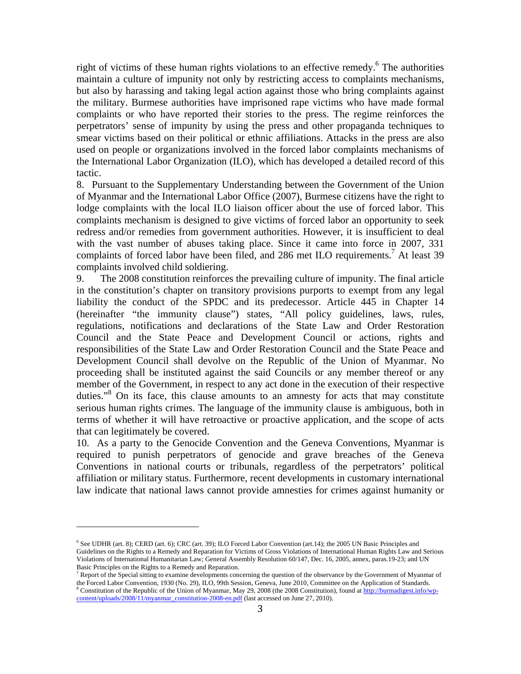right of victims of these human rights violations to an effective remedy.<sup>6</sup> The authorities maintain a culture of impunity not only by restricting access to complaints mechanisms, but also by harassing and taking legal action against those who bring complaints against the military. Burmese authorities have imprisoned rape victims who have made formal complaints or who have reported their stories to the press. The regime reinforces the perpetrators' sense of impunity by using the press and other propaganda techniques to smear victims based on their political or ethnic affiliations. Attacks in the press are also used on people or organizations involved in the forced labor complaints mechanisms of the International Labor Organization (ILO), which has developed a detailed record of this tactic.

8. Pursuant to the Supplementary Understanding between the Government of the Union of Myanmar and the International Labor Office (2007), Burmese citizens have the right to lodge complaints with the local ILO liaison officer about the use of forced labor. This complaints mechanism is designed to give victims of forced labor an opportunity to seek redress and/or remedies from government authorities. However, it is insufficient to deal with the vast number of abuses taking place. Since it came into force in 2007, 331 complaints of forced labor have been filed, and 286 met ILO requirements.<sup>7</sup> At least 39 complaints involved child soldiering.

9. The 2008 constitution reinforces the prevailing culture of impunity. The final article in the constitution's chapter on transitory provisions purports to exempt from any legal liability the conduct of the SPDC and its predecessor. Article 445 in Chapter 14 (hereinafter "the immunity clause") states, "All policy guidelines, laws, rules, regulations, notifications and declarations of the State Law and Order Restoration Council and the State Peace and Development Council or actions, rights and responsibilities of the State Law and Order Restoration Council and the State Peace and Development Council shall devolve on the Republic of the Union of Myanmar. No proceeding shall be instituted against the said Councils or any member thereof or any member of the Government, in respect to any act done in the execution of their respective duties."<sup>8</sup> On its face, this clause amounts to an amnesty for acts that may constitute serious human rights crimes. The language of the immunity clause is ambiguous, both in terms of whether it will have retroactive or proactive application, and the scope of acts that can legitimately be covered.

10. As a party to the Genocide Convention and the Geneva Conventions, Myanmar is required to punish perpetrators of genocide and grave breaches of the Geneva Conventions in national courts or tribunals, regardless of the perpetrators' political affiliation or military status. Furthermore, recent developments in customary international law indicate that national laws cannot provide amnesties for crimes against humanity or

<sup>6</sup> See UDHR (art. 8); CERD (art. 6); CRC (art. 39); ILO Forced Labor Convention (art.14); the 2005 UN Basic Principles and Guidelines on the Rights to a Remedy and Reparation for Victims of Gross Violations of International Human Rights Law and Serious Violations of International Humanitarian Law; General Assembly Resolution 60/147, Dec. 16, 2005, annex, paras.19-23; and UN Basic Principles on the Rights to a Remedy and Reparation.

 $<sup>7</sup>$  Report of the Special sitting to examine developments concerning the question of the observance by the Government of Myanmar of</sup> the Forced Labor Convention, 1930 (No. 29), ILO, 99th Session, Geneva, June 2010, Committee on the Application of Standards. <sup>8</sup> Constitution of the Republic of the Union of Myanmar, May 29, 2008 (the 2008 Constitution), found at http://burmadigest.info/wpcontent/uploads/2008/11/myanmar\_constitution-2008-en.pdf (last accessed on June 27, 2010).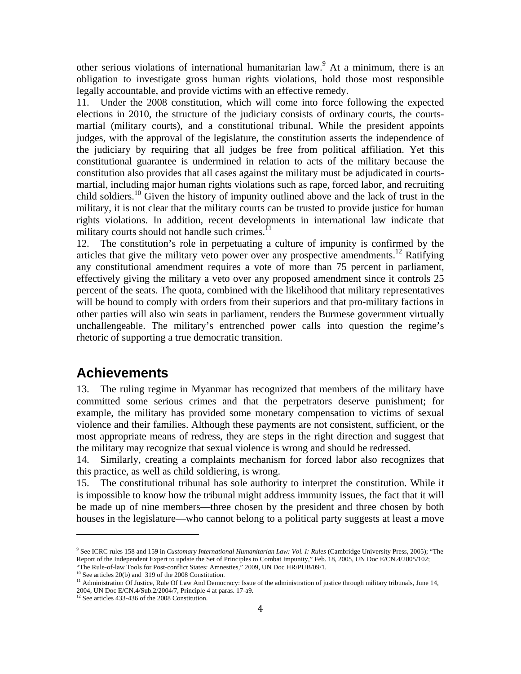other serious violations of international humanitarian law.<sup>9</sup> At a minimum, there is an obligation to investigate gross human rights violations, hold those most responsible legally accountable, and provide victims with an effective remedy.

11. Under the 2008 constitution, which will come into force following the expected elections in 2010, the structure of the judiciary consists of ordinary courts, the courtsmartial (military courts), and a constitutional tribunal. While the president appoints judges, with the approval of the legislature, the constitution asserts the independence of the judiciary by requiring that all judges be free from political affiliation. Yet this constitutional guarantee is undermined in relation to acts of the military because the constitution also provides that all cases against the military must be adjudicated in courtsmartial, including major human rights violations such as rape, forced labor, and recruiting child soldiers.10 Given the history of impunity outlined above and the lack of trust in the military, it is not clear that the military courts can be trusted to provide justice for human rights violations. In addition, recent developments in international law indicate that military courts should not handle such crimes. $^{11}$ 

12. The constitution's role in perpetuating a culture of impunity is confirmed by the articles that give the military veto power over any prospective amendments.<sup>12</sup> Ratifying any constitutional amendment requires a vote of more than 75 percent in parliament, effectively giving the military a veto over any proposed amendment since it controls 25 percent of the seats. The quota, combined with the likelihood that military representatives will be bound to comply with orders from their superiors and that pro-military factions in other parties will also win seats in parliament, renders the Burmese government virtually unchallengeable. The military's entrenched power calls into question the regime's rhetoric of supporting a true democratic transition.

#### **Achievements**

13. The ruling regime in Myanmar has recognized that members of the military have committed some serious crimes and that the perpetrators deserve punishment; for example, the military has provided some monetary compensation to victims of sexual violence and their families. Although these payments are not consistent, sufficient, or the most appropriate means of redress, they are steps in the right direction and suggest that the military may recognize that sexual violence is wrong and should be redressed.

14. Similarly, creating a complaints mechanism for forced labor also recognizes that this practice, as well as child soldiering, is wrong.

15. The constitutional tribunal has sole authority to interpret the constitution. While it is impossible to know how the tribunal might address immunity issues, the fact that it will be made up of nine members—three chosen by the president and three chosen by both houses in the legislature—who cannot belong to a political party suggests at least a move

<sup>9</sup> See ICRC rules 158 and 159 in *Customary International Humanitarian Law: Vol. I: Rules* (Cambridge University Press, 2005); "The Report of the Independent Expert to update the Set of Principles to Combat Impunity," Feb. 18, 2005, UN Doc E/CN.4/2005/102;<br>"The Rule-of-law Tools for Post-conflict States: Amnesties," 2009, UN Doc HR/PUB/09/1.

<sup>&</sup>lt;sup>10</sup> See articles 20(b) and 319 of the 2008 Constitution.<br><sup>11</sup> Administration Of Justice, Rule Of Law And Democracy: Issue of the administration of justice through military tribunals, June 14, 2004, UN Doc E/CN.4/Sub.2/2004/7, Principle 4 at paras. 17-a9.

<sup>&</sup>lt;sup>12</sup> See articles 433-436 of the 2008 Constitution.